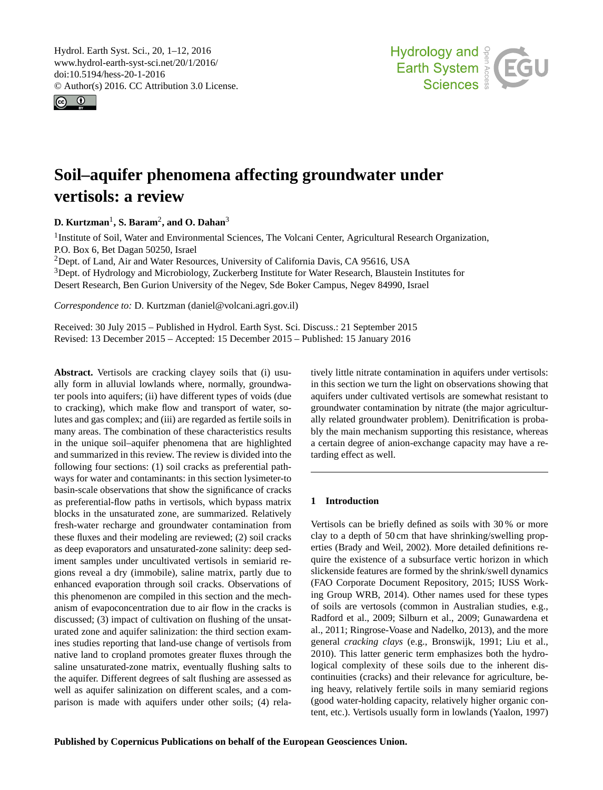<span id="page-0-1"></span>Hydrol. Earth Syst. Sci., 20, 1–12, 2016 www.hydrol-earth-syst-sci.net/20/1/2016/ doi:10.5194/hess-20-1-2016 © Author(s) 2016. CC Attribution 3.0 License.





# **Soil–aquifer phenomena affecting groundwater under vertisols: a review**

**D. Kurtzman**[1](#page-0-0) **, S. Baram**[2](#page-0-0) **, and O. Dahan**[3](#page-0-0)

<sup>1</sup>Institute of Soil, Water and Environmental Sciences, The Volcani Center, Agricultural Research Organization, P.O. Box 6, Bet Dagan 50250, Israel

<sup>2</sup>Dept. of Land, Air and Water Resources, University of California Davis, CA 95616, USA

<sup>3</sup>Dept. of Hydrology and Microbiology, Zuckerberg Institute for Water Research, Blaustein Institutes for

Desert Research, Ben Gurion University of the Negev, Sde Boker Campus, Negev 84990, Israel

*Correspondence to:* D. Kurtzman (daniel@volcani.agri.gov.il)

Received: 30 July 2015 – Published in Hydrol. Earth Syst. Sci. Discuss.: 21 September 2015 Revised: 13 December 2015 – Accepted: 15 December 2015 – Published: 15 January 2016

<span id="page-0-0"></span>**Abstract.** Vertisols are cracking clayey soils that (i) usually form in alluvial lowlands where, normally, groundwater pools into aquifers; (ii) have different types of voids (due to cracking), which make flow and transport of water, solutes and gas complex; and (iii) are regarded as fertile soils in many areas. The combination of these characteristics results in the unique soil–aquifer phenomena that are highlighted and summarized in this review. The review is divided into the following four sections: (1) soil cracks as preferential pathways for water and contaminants: in this section lysimeter-to basin-scale observations that show the significance of cracks as preferential-flow paths in vertisols, which bypass matrix blocks in the unsaturated zone, are summarized. Relatively fresh-water recharge and groundwater contamination from these fluxes and their modeling are reviewed; (2) soil cracks as deep evaporators and unsaturated-zone salinity: deep sediment samples under uncultivated vertisols in semiarid regions reveal a dry (immobile), saline matrix, partly due to enhanced evaporation through soil cracks. Observations of this phenomenon are compiled in this section and the mechanism of evapoconcentration due to air flow in the cracks is discussed; (3) impact of cultivation on flushing of the unsaturated zone and aquifer salinization: the third section examines studies reporting that land-use change of vertisols from native land to cropland promotes greater fluxes through the saline unsaturated-zone matrix, eventually flushing salts to the aquifer. Different degrees of salt flushing are assessed as well as aquifer salinization on different scales, and a comparison is made with aquifers under other soils; (4) relatively little nitrate contamination in aquifers under vertisols: in this section we turn the light on observations showing that aquifers under cultivated vertisols are somewhat resistant to groundwater contamination by nitrate (the major agriculturally related groundwater problem). Denitrification is probably the main mechanism supporting this resistance, whereas a certain degree of anion-exchange capacity may have a retarding effect as well.

# **1 Introduction**

Vertisols can be briefly defined as soils with 30 % or more clay to a depth of 50 cm that have shrinking/swelling properties (Brady and Weil, 2002). More detailed definitions require the existence of a subsurface vertic horizon in which slickenside features are formed by the shrink/swell dynamics (FAO Corporate Document Repository, 2015; IUSS Working Group WRB, 2014). Other names used for these types of soils are vertosols (common in Australian studies, e.g., Radford et al., 2009; Silburn et al., 2009; Gunawardena et al., 2011; Ringrose-Voase and Nadelko, 2013), and the more general *cracking clays* (e.g., Bronswijk, 1991; Liu et al., 2010). This latter generic term emphasizes both the hydrological complexity of these soils due to the inherent discontinuities (cracks) and their relevance for agriculture, being heavy, relatively fertile soils in many semiarid regions (good water-holding capacity, relatively higher organic content, etc.). Vertisols usually form in lowlands (Yaalon, 1997)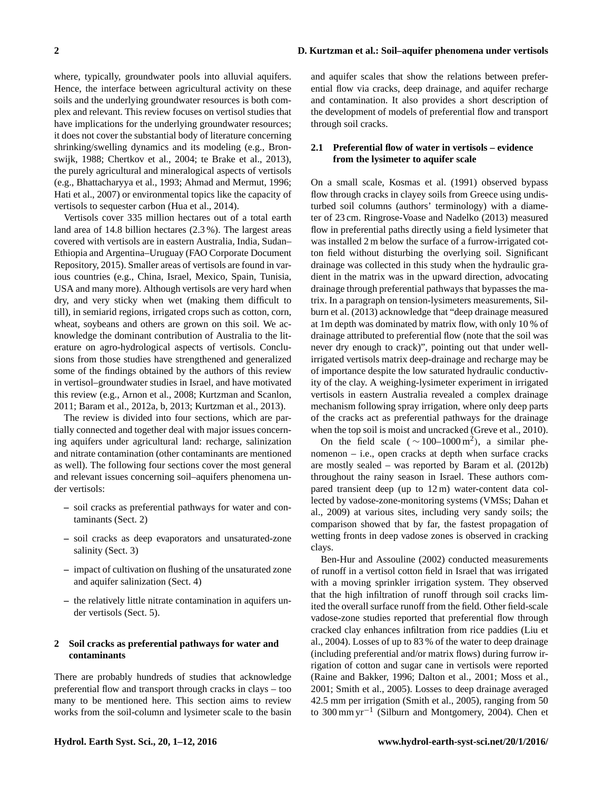where, typically, groundwater pools into alluvial aquifers. Hence, the interface between agricultural activity on these soils and the underlying groundwater resources is both complex and relevant. This review focuses on vertisol studies that have implications for the underlying groundwater resources; it does not cover the substantial body of literature concerning shrinking/swelling dynamics and its modeling (e.g., Bronswijk, 1988; Chertkov et al., 2004; te Brake et al., 2013), the purely agricultural and mineralogical aspects of vertisols (e.g., Bhattacharyya et al., 1993; Ahmad and Mermut, 1996; Hati et al., 2007) or environmental topics like the capacity of vertisols to sequester carbon (Hua et al., 2014).

Vertisols cover 335 million hectares out of a total earth land area of 14.8 billion hectares (2.3 %). The largest areas covered with vertisols are in eastern Australia, India, Sudan– Ethiopia and Argentina–Uruguay (FAO Corporate Document Repository, 2015). Smaller areas of vertisols are found in various countries (e.g., China, Israel, Mexico, Spain, Tunisia, USA and many more). Although vertisols are very hard when dry, and very sticky when wet (making them difficult to till), in semiarid regions, irrigated crops such as cotton, corn, wheat, soybeans and others are grown on this soil. We acknowledge the dominant contribution of Australia to the literature on agro-hydrological aspects of vertisols. Conclusions from those studies have strengthened and generalized some of the findings obtained by the authors of this review in vertisol–groundwater studies in Israel, and have motivated this review (e.g., Arnon et al., 2008; Kurtzman and Scanlon, 2011; Baram et al., 2012a, b, 2013; Kurtzman et al., 2013).

The review is divided into four sections, which are partially connected and together deal with major issues concerning aquifers under agricultural land: recharge, salinization and nitrate contamination (other contaminants are mentioned as well). The following four sections cover the most general and relevant issues concerning soil–aquifers phenomena under vertisols:

- **–** soil cracks as preferential pathways for water and contaminants (Sect. 2)
- **–** soil cracks as deep evaporators and unsaturated-zone salinity (Sect. 3)
- **–** impact of cultivation on flushing of the unsaturated zone and aquifer salinization (Sect. 4)
- **–** the relatively little nitrate contamination in aquifers under vertisols (Sect. 5).

## **2 Soil cracks as preferential pathways for water and contaminants**

There are probably hundreds of studies that acknowledge preferential flow and transport through cracks in clays – too many to be mentioned here. This section aims to review works from the soil-column and lysimeter scale to the basin and aquifer scales that show the relations between preferential flow via cracks, deep drainage, and aquifer recharge and contamination. It also provides a short description of the development of models of preferential flow and transport through soil cracks.

## **2.1 Preferential flow of water in vertisols – evidence from the lysimeter to aquifer scale**

On a small scale, Kosmas et al. (1991) observed bypass flow through cracks in clayey soils from Greece using undisturbed soil columns (authors' terminology) with a diameter of 23 cm. Ringrose-Voase and Nadelko (2013) measured flow in preferential paths directly using a field lysimeter that was installed 2 m below the surface of a furrow-irrigated cotton field without disturbing the overlying soil. Significant drainage was collected in this study when the hydraulic gradient in the matrix was in the upward direction, advocating drainage through preferential pathways that bypasses the matrix. In a paragraph on tension-lysimeters measurements, Silburn et al. (2013) acknowledge that "deep drainage measured at 1m depth was dominated by matrix flow, with only 10 % of drainage attributed to preferential flow (note that the soil was never dry enough to crack)", pointing out that under wellirrigated vertisols matrix deep-drainage and recharge may be of importance despite the low saturated hydraulic conductivity of the clay. A weighing-lysimeter experiment in irrigated vertisols in eastern Australia revealed a complex drainage mechanism following spray irrigation, where only deep parts of the cracks act as preferential pathways for the drainage when the top soil is moist and uncracked (Greve et al., 2010).

On the field scale ( $\sim 100-1000 \,\mathrm{m}^2$ ), a similar phenomenon – i.e., open cracks at depth when surface cracks are mostly sealed – was reported by Baram et al. (2012b) throughout the rainy season in Israel. These authors compared transient deep (up to 12 m) water-content data collected by vadose-zone-monitoring systems (VMSs; Dahan et al., 2009) at various sites, including very sandy soils; the comparison showed that by far, the fastest propagation of wetting fronts in deep vadose zones is observed in cracking clays.

Ben-Hur and Assouline (2002) conducted measurements of runoff in a vertisol cotton field in Israel that was irrigated with a moving sprinkler irrigation system. They observed that the high infiltration of runoff through soil cracks limited the overall surface runoff from the field. Other field-scale vadose-zone studies reported that preferential flow through cracked clay enhances infiltration from rice paddies (Liu et al., 2004). Losses of up to 83 % of the water to deep drainage (including preferential and/or matrix flows) during furrow irrigation of cotton and sugar cane in vertisols were reported (Raine and Bakker, 1996; Dalton et al., 2001; Moss et al., 2001; Smith et al., 2005). Losses to deep drainage averaged 42.5 mm per irrigation (Smith et al., 2005), ranging from 50 to 300 mm yr−<sup>1</sup> (Silburn and Montgomery, 2004). Chen et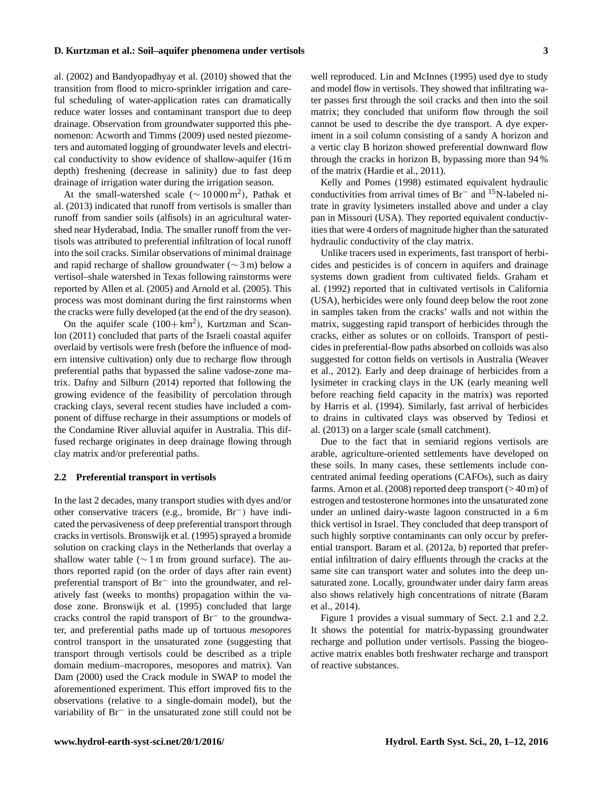al. (2002) and Bandyopadhyay et al. (2010) showed that the transition from flood to micro-sprinkler irrigation and careful scheduling of water-application rates can dramatically reduce water losses and contaminant transport due to deep drainage. Observation from groundwater supported this phenomenon: Acworth and Timms (2009) used nested piezometers and automated logging of groundwater levels and electrical conductivity to show evidence of shallow-aquifer (16 m depth) freshening (decrease in salinity) due to fast deep drainage of irrigation water during the irrigation season.

At the small-watershed scale  $(\sim 10000 \,\text{m}^2)$ , Pathak et al. (2013) indicated that runoff from vertisols is smaller than runoff from sandier soils (alfisols) in an agricultural watershed near Hyderabad, India. The smaller runoff from the vertisols was attributed to preferential infiltration of local runoff into the soil cracks. Similar observations of minimal drainage and rapid recharge of shallow groundwater (∼ 3 m) below a vertisol–shale watershed in Texas following rainstorms were reported by Allen et al. (2005) and Arnold et al. (2005). This process was most dominant during the first rainstorms when the cracks were fully developed (at the end of the dry season).

On the aquifer scale  $(100 + km^2)$ , Kurtzman and Scanlon (2011) concluded that parts of the Israeli coastal aquifer overlaid by vertisols were fresh (before the influence of modern intensive cultivation) only due to recharge flow through preferential paths that bypassed the saline vadose-zone matrix. Dafny and Silburn (2014) reported that following the growing evidence of the feasibility of percolation through cracking clays, several recent studies have included a component of diffuse recharge in their assumptions or models of the Condamine River alluvial aquifer in Australia. This diffused recharge originates in deep drainage flowing through clay matrix and/or preferential paths.

#### **2.2 Preferential transport in vertisols**

In the last 2 decades, many transport studies with dyes and/or other conservative tracers (e.g., bromide, Br−) have indicated the pervasiveness of deep preferential transport through cracks in vertisols. Bronswijk et al. (1995) sprayed a bromide solution on cracking clays in the Netherlands that overlay a shallow water table ( $\sim$  1 m from ground surface). The authors reported rapid (on the order of days after rain event) preferential transport of Br<sup>−</sup> into the groundwater, and relatively fast (weeks to months) propagation within the vadose zone. Bronswijk et al. (1995) concluded that large cracks control the rapid transport of Br<sup>−</sup> to the groundwater, and preferential paths made up of tortuous *mesopores* control transport in the unsaturated zone (suggesting that transport through vertisols could be described as a triple domain medium–macropores, mesopores and matrix). Van Dam (2000) used the Crack module in SWAP to model the aforementioned experiment. This effort improved fits to the observations (relative to a single-domain model), but the variability of Br<sup>−</sup> in the unsaturated zone still could not be well reproduced. Lin and McInnes (1995) used dye to study and model flow in vertisols. They showed that infiltrating water passes first through the soil cracks and then into the soil matrix; they concluded that uniform flow through the soil cannot be used to describe the dye transport. A dye experiment in a soil column consisting of a sandy A horizon and a vertic clay B horizon showed preferential downward flow through the cracks in horizon B, bypassing more than 94 % of the matrix (Hardie et al., 2011).

Kelly and Pomes (1998) estimated equivalent hydraulic conductivities from arrival times of Br<sup>−</sup> and <sup>15</sup>N-labeled nitrate in gravity lysimeters installed above and under a clay pan in Missouri (USA). They reported equivalent conductivities that were 4 orders of magnitude higher than the saturated hydraulic conductivity of the clay matrix.

Unlike tracers used in experiments, fast transport of herbicides and pesticides is of concern in aquifers and drainage systems down gradient from cultivated fields. Graham et al. (1992) reported that in cultivated vertisols in California (USA), herbicides were only found deep below the root zone in samples taken from the cracks' walls and not within the matrix, suggesting rapid transport of herbicides through the cracks, either as solutes or on colloids. Transport of pesticides in preferential-flow paths absorbed on colloids was also suggested for cotton fields on vertisols in Australia (Weaver et al., 2012). Early and deep drainage of herbicides from a lysimeter in cracking clays in the UK (early meaning well before reaching field capacity in the matrix) was reported by Harris et al. (1994). Similarly, fast arrival of herbicides to drains in cultivated clays was observed by Tediosi et al. (2013) on a larger scale (small catchment).

Due to the fact that in semiarid regions vertisols are arable, agriculture-oriented settlements have developed on these soils. In many cases, these settlements include concentrated animal feeding operations (CAFOs), such as dairy farms. Arnon et al. (2008) reported deep transport ( $>40 \text{ m}$ ) of estrogen and testosterone hormones into the unsaturated zone under an unlined dairy-waste lagoon constructed in a 6 m thick vertisol in Israel. They concluded that deep transport of such highly sorptive contaminants can only occur by preferential transport. Baram et al. (2012a, b) reported that preferential infiltration of dairy effluents through the cracks at the same site can transport water and solutes into the deep unsaturated zone. Locally, groundwater under dairy farm areas also shows relatively high concentrations of nitrate (Baram et al., 2014).

Figure 1 provides a visual summary of Sect. 2.1 and 2.2. It shows the potential for matrix-bypassing groundwater recharge and pollution under vertisols. Passing the biogeoactive matrix enables both freshwater recharge and transport of reactive substances.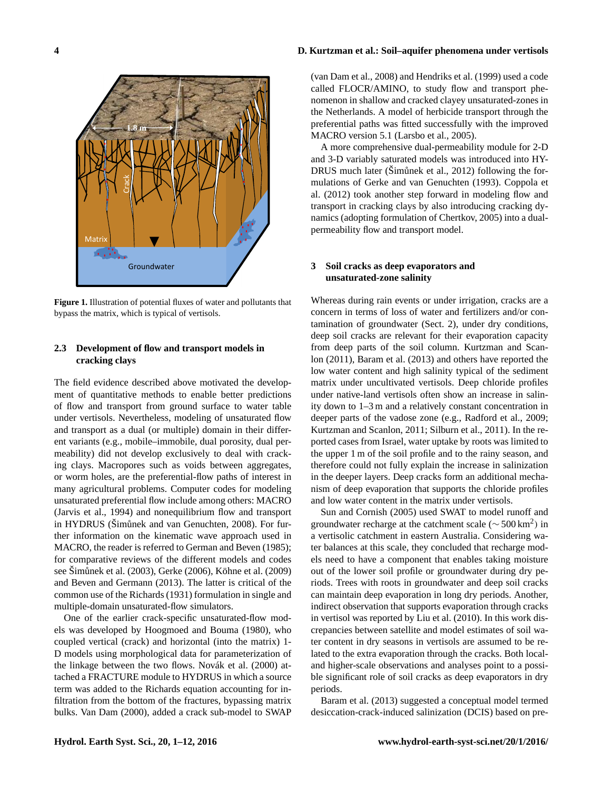

**Figure 1.** Illustration of potential fluxes of water and pollutants that bypass the matrix, which is typical of vertisols.

## **2.3 Development of flow and transport models in cracking clays**

The field evidence described above motivated the development of quantitative methods to enable better predictions of flow and transport from ground surface to water table under vertisols. Nevertheless, modeling of unsaturated flow and transport as a dual (or multiple) domain in their different variants (e.g., mobile–immobile, dual porosity, dual permeability) did not develop exclusively to deal with cracking clays. Macropores such as voids between aggregates, or worm holes, are the preferential-flow paths of interest in many agricultural problems. Computer codes for modeling unsaturated preferential flow include among others: MACRO (Jarvis et al., 1994) and nonequilibrium flow and transport in HYDRUS (Šimůnek and van Genuchten, 2008). For further information on the kinematic wave approach used in MACRO, the reader is referred to German and Beven (1985); for comparative reviews of the different models and codes see Šimůnek et al. (2003), Gerke (2006), Köhne et al. (2009) and Beven and Germann (2013). The latter is critical of the common use of the Richards (1931) formulation in single and multiple-domain unsaturated-flow simulators.

One of the earlier crack-specific unsaturated-flow models was developed by Hoogmoed and Bouma (1980), who coupled vertical (crack) and horizontal (into the matrix) 1- D models using morphological data for parameterization of the linkage between the two flows. Novák et al. (2000) attached a FRACTURE module to HYDRUS in which a source term was added to the Richards equation accounting for infiltration from the bottom of the fractures, bypassing matrix bulks. Van Dam (2000), added a crack sub-model to SWAP

(van Dam et al., 2008) and Hendriks et al. (1999) used a code called FLOCR/AMINO, to study flow and transport phenomenon in shallow and cracked clayey unsaturated-zones in the Netherlands. A model of herbicide transport through the preferential paths was fitted successfully with the improved MACRO version 5.1 (Larsbo et al., 2005).

A more comprehensive dual-permeability module for 2-D and 3-D variably saturated models was introduced into HY-DRUS much later (Šimůnek et al., 2012) following the formulations of Gerke and van Genuchten (1993). Coppola et al. (2012) took another step forward in modeling flow and transport in cracking clays by also introducing cracking dynamics (adopting formulation of Chertkov, 2005) into a dualpermeability flow and transport model.

## **3 Soil cracks as deep evaporators and unsaturated-zone salinity**

Whereas during rain events or under irrigation, cracks are a concern in terms of loss of water and fertilizers and/or contamination of groundwater (Sect. 2), under dry conditions, deep soil cracks are relevant for their evaporation capacity from deep parts of the soil column. Kurtzman and Scanlon (2011), Baram et al. (2013) and others have reported the low water content and high salinity typical of the sediment matrix under uncultivated vertisols. Deep chloride profiles under native-land vertisols often show an increase in salinity down to 1–3 m and a relatively constant concentration in deeper parts of the vadose zone (e.g., Radford et al., 2009; Kurtzman and Scanlon, 2011; Silburn et al., 2011). In the reported cases from Israel, water uptake by roots was limited to the upper 1 m of the soil profile and to the rainy season, and therefore could not fully explain the increase in salinization in the deeper layers. Deep cracks form an additional mechanism of deep evaporation that supports the chloride profiles and low water content in the matrix under vertisols.

Sun and Cornish (2005) used SWAT to model runoff and groundwater recharge at the catchment scale ( $\sim$  500 km<sup>2</sup>) in a vertisolic catchment in eastern Australia. Considering water balances at this scale, they concluded that recharge models need to have a component that enables taking moisture out of the lower soil profile or groundwater during dry periods. Trees with roots in groundwater and deep soil cracks can maintain deep evaporation in long dry periods. Another, indirect observation that supports evaporation through cracks in vertisol was reported by Liu et al. (2010). In this work discrepancies between satellite and model estimates of soil water content in dry seasons in vertisols are assumed to be related to the extra evaporation through the cracks. Both localand higher-scale observations and analyses point to a possible significant role of soil cracks as deep evaporators in dry periods.

Baram et al. (2013) suggested a conceptual model termed desiccation-crack-induced salinization (DCIS) based on pre-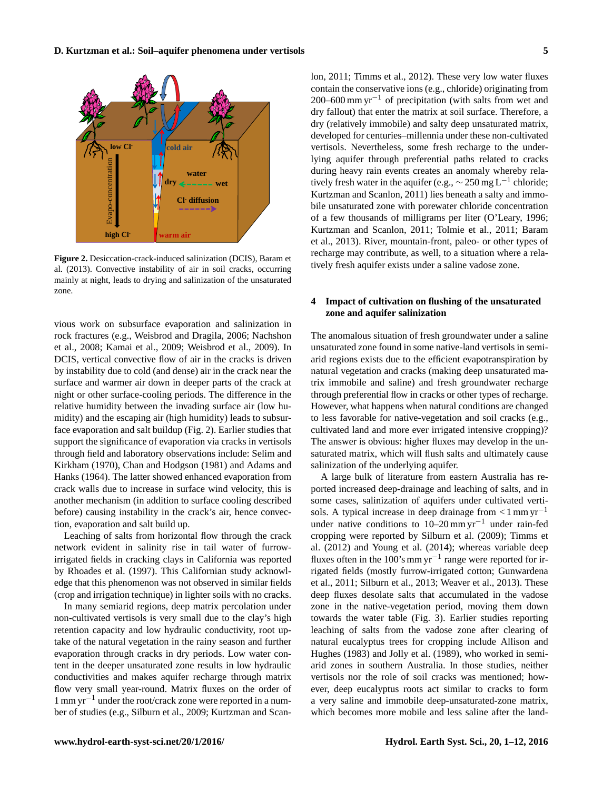

**Figure 2.** Desiccation-crack-induced salinization (DCIS), Baram et al. (2013). Convective instability of air in soil cracks, occurring mainly at night, leads to drying and salinization of the unsaturated zone.

vious work on subsurface evaporation and salinization in rock fractures (e.g., Weisbrod and Dragila, 2006; Nachshon et al., 2008; Kamai et al., 2009; Weisbrod et al., 2009). In DCIS, vertical convective flow of air in the cracks is driven by instability due to cold (and dense) air in the crack near the surface and warmer air down in deeper parts of the crack at night or other surface-cooling periods. The difference in the relative humidity between the invading surface air (low humidity) and the escaping air (high humidity) leads to subsurface evaporation and salt buildup (Fig. 2). Earlier studies that support the significance of evaporation via cracks in vertisols through field and laboratory observations include: Selim and Kirkham (1970), Chan and Hodgson (1981) and Adams and Hanks (1964). The latter showed enhanced evaporation from crack walls due to increase in surface wind velocity, this is another mechanism (in addition to surface cooling described before) causing instability in the crack's air, hence convection, evaporation and salt build up.

Leaching of salts from horizontal flow through the crack network evident in salinity rise in tail water of furrowirrigated fields in cracking clays in California was reported by Rhoades et al. (1997). This Californian study acknowledge that this phenomenon was not observed in similar fields (crop and irrigation technique) in lighter soils with no cracks.

In many semiarid regions, deep matrix percolation under non-cultivated vertisols is very small due to the clay's high retention capacity and low hydraulic conductivity, root uptake of the natural vegetation in the rainy season and further evaporation through cracks in dry periods. Low water content in the deeper unsaturated zone results in low hydraulic conductivities and makes aquifer recharge through matrix flow very small year-round. Matrix fluxes on the order of 1 mm yr−<sup>1</sup> under the root/crack zone were reported in a number of studies (e.g., Silburn et al., 2009; Kurtzman and Scanlon, 2011; Timms et al., 2012). These very low water fluxes contain the conservative ions (e.g., chloride) originating from 200–600 mm yr<sup>-1</sup> of precipitation (with salts from wet and dry fallout) that enter the matrix at soil surface. Therefore, a dry (relatively immobile) and salty deep unsaturated matrix, developed for centuries–millennia under these non-cultivated vertisols. Nevertheless, some fresh recharge to the underlying aquifer through preferential paths related to cracks during heavy rain events creates an anomaly whereby relatively fresh water in the aquifer (e.g.,  $\sim$  250 mg L<sup>-1</sup> chloride; Kurtzman and Scanlon, 2011) lies beneath a salty and immobile unsaturated zone with porewater chloride concentration of a few thousands of milligrams per liter (O'Leary, 1996; Kurtzman and Scanlon, 2011; Tolmie et al., 2011; Baram et al., 2013). River, mountain-front, paleo- or other types of recharge may contribute, as well, to a situation where a relatively fresh aquifer exists under a saline vadose zone.

# **4 Impact of cultivation on flushing of the unsaturated zone and aquifer salinization**

The anomalous situation of fresh groundwater under a saline unsaturated zone found in some native-land vertisols in semiarid regions exists due to the efficient evapotranspiration by natural vegetation and cracks (making deep unsaturated matrix immobile and saline) and fresh groundwater recharge through preferential flow in cracks or other types of recharge. However, what happens when natural conditions are changed to less favorable for native-vegetation and soil cracks (e.g., cultivated land and more ever irrigated intensive cropping)? The answer is obvious: higher fluxes may develop in the unsaturated matrix, which will flush salts and ultimately cause salinization of the underlying aquifer.

A large bulk of literature from eastern Australia has reported increased deep-drainage and leaching of salts, and in some cases, salinization of aquifers under cultivated vertisols. A typical increase in deep drainage from  $\lt 1$  mm yr<sup>-1</sup> under native conditions to 10–20 mm yr<sup>-1</sup> under rain-fed cropping were reported by Silburn et al. (2009); Timms et al. (2012) and Young et al. (2014); whereas variable deep fluxes often in the 100's mm yr<sup>-1</sup> range were reported for irrigated fields (mostly furrow-irrigated cotton; Gunwardena et al., 2011; Silburn et al., 2013; Weaver et al., 2013). These deep fluxes desolate salts that accumulated in the vadose zone in the native-vegetation period, moving them down towards the water table (Fig. 3). Earlier studies reporting leaching of salts from the vadose zone after clearing of natural eucalyptus trees for cropping include Allison and Hughes (1983) and Jolly et al. (1989), who worked in semiarid zones in southern Australia. In those studies, neither vertisols nor the role of soil cracks was mentioned; however, deep eucalyptus roots act similar to cracks to form a very saline and immobile deep-unsaturated-zone matrix, which becomes more mobile and less saline after the land-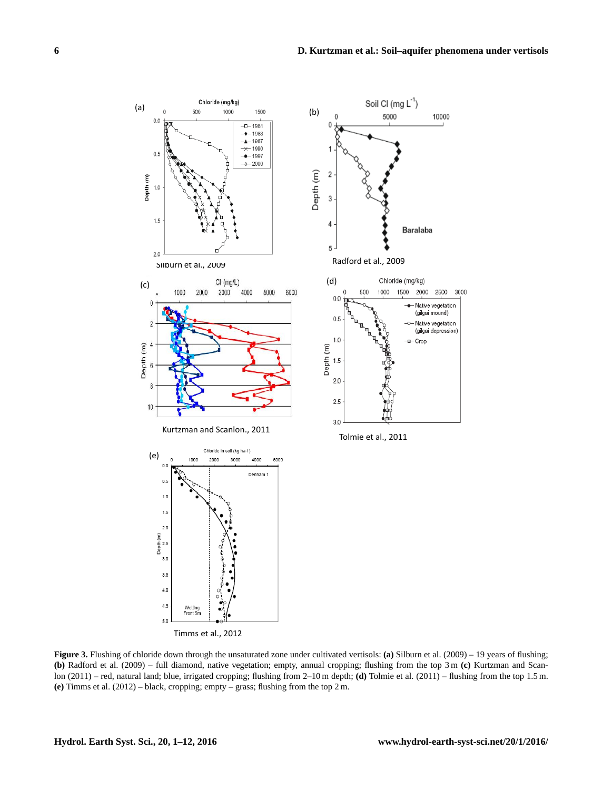

Timms et al., 2012

**Figure 3.** Flushing of chloride down through the unsaturated zone under cultivated vertisols: **(a)** Silburn et al. (2009) – 19 years of flushing; **(b)** Radford et al. (2009) – full diamond, native vegetation; empty, annual cropping; flushing from the top 3 m **(c)** Kurtzman and Scanlon (2011) – red, natural land; blue, irrigated cropping; flushing from 2–10 m depth; **(d)** Tolmie et al. (2011) – flushing from the top 1.5 m. **(e)** Timms et al. (2012) – black, cropping; empty – grass; flushing from the top 2 m.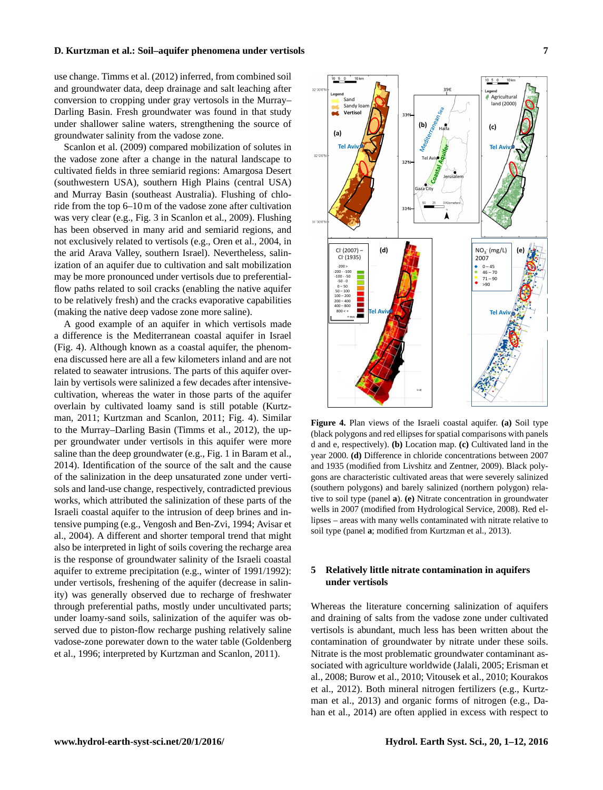use change. Timms et al. (2012) inferred, from combined soil and groundwater data, deep drainage and salt leaching after conversion to cropping under gray vertosols in the Murray– Darling Basin. Fresh groundwater was found in that study under shallower saline waters, strengthening the source of groundwater salinity from the vadose zone.

Scanlon et al. (2009) compared mobilization of solutes in the vadose zone after a change in the natural landscape to cultivated fields in three semiarid regions: Amargosa Desert (southwestern USA), southern High Plains (central USA) and Murray Basin (southeast Australia). Flushing of chloride from the top 6–10 m of the vadose zone after cultivation was very clear (e.g., Fig. 3 in Scanlon et al., 2009). Flushing has been observed in many arid and semiarid regions, and not exclusively related to vertisols (e.g., Oren et al., 2004, in the arid Arava Valley, southern Israel). Nevertheless, salinization of an aquifer due to cultivation and salt mobilization may be more pronounced under vertisols due to preferentialflow paths related to soil cracks (enabling the native aquifer to be relatively fresh) and the cracks evaporative capabilities (making the native deep vadose zone more saline).

A good example of an aquifer in which vertisols made a difference is the Mediterranean coastal aquifer in Israel (Fig. 4). Although known as a coastal aquifer, the phenomena discussed here are all a few kilometers inland and are not related to seawater intrusions. The parts of this aquifer overlain by vertisols were salinized a few decades after intensivecultivation, whereas the water in those parts of the aquifer overlain by cultivated loamy sand is still potable (Kurtzman, 2011; Kurtzman and Scanlon, 2011; Fig. 4). Similar to the Murray–Darling Basin (Timms et al., 2012), the upper groundwater under vertisols in this aquifer were more saline than the deep groundwater (e.g., Fig. 1 in Baram et al., 2014). Identification of the source of the salt and the cause of the salinization in the deep unsaturated zone under vertisols and land-use change, respectively, contradicted previous works, which attributed the salinization of these parts of the Israeli coastal aquifer to the intrusion of deep brines and intensive pumping (e.g., Vengosh and Ben-Zvi, 1994; Avisar et al., 2004). A different and shorter temporal trend that might also be interpreted in light of soils covering the recharge area is the response of groundwater salinity of the Israeli coastal aquifer to extreme precipitation (e.g., winter of 1991/1992): under vertisols, freshening of the aquifer (decrease in salinity) was generally observed due to recharge of freshwater through preferential paths, mostly under uncultivated parts; under loamy-sand soils, salinization of the aquifer was observed due to piston-flow recharge pushing relatively saline vadose-zone porewater down to the water table (Goldenberg et al., 1996; interpreted by Kurtzman and Scanlon, 2011).



**Figure 4.** Plan views of the Israeli coastal aquifer. **(a)** Soil type (black polygons and red ellipses for spatial comparisons with panels d and e, respectively). **(b)** Location map. **(c)** Cultivated land in the year 2000. **(d)** Difference in chloride concentrations between 2007 and 1935 (modified from Livshitz and Zentner, 2009). Black polygons are characteristic cultivated areas that were severely salinized (southern polygons) and barely salinized (northern polygon) relative to soil type (panel **a**). **(e)** Nitrate concentration in groundwater wells in 2007 (modified from Hydrological Service, 2008). Red ellipses – areas with many wells contaminated with nitrate relative to soil type (panel **a**; modified from Kurtzman et al., 2013).

## **5 Relatively little nitrate contamination in aquifers under vertisols**

Whereas the literature concerning salinization of aquifers and draining of salts from the vadose zone under cultivated vertisols is abundant, much less has been written about the contamination of groundwater by nitrate under these soils. Nitrate is the most problematic groundwater contaminant associated with agriculture worldwide (Jalali, 2005; Erisman et al., 2008; Burow et al., 2010; Vitousek et al., 2010; Kourakos et al., 2012). Both mineral nitrogen fertilizers (e.g., Kurtzman et al., 2013) and organic forms of nitrogen (e.g., Dahan et al., 2014) are often applied in excess with respect to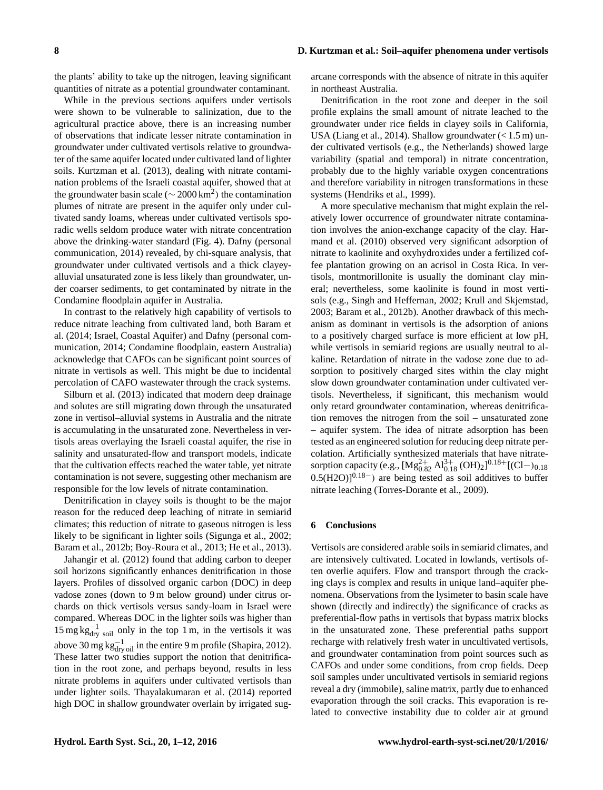the plants' ability to take up the nitrogen, leaving significant quantities of nitrate as a potential groundwater contaminant.

While in the previous sections aquifers under vertisols were shown to be vulnerable to salinization, due to the agricultural practice above, there is an increasing number of observations that indicate lesser nitrate contamination in groundwater under cultivated vertisols relative to groundwater of the same aquifer located under cultivated land of lighter soils. Kurtzman et al. (2013), dealing with nitrate contamination problems of the Israeli coastal aquifer, showed that at the groundwater basin scale ( $\sim$  2000 km<sup>2</sup>) the contamination plumes of nitrate are present in the aquifer only under cultivated sandy loams, whereas under cultivated vertisols sporadic wells seldom produce water with nitrate concentration above the drinking-water standard (Fig. 4). Dafny (personal communication, 2014) revealed, by chi-square analysis, that groundwater under cultivated vertisols and a thick clayeyalluvial unsaturated zone is less likely than groundwater, under coarser sediments, to get contaminated by nitrate in the Condamine floodplain aquifer in Australia.

In contrast to the relatively high capability of vertisols to reduce nitrate leaching from cultivated land, both Baram et al. (2014; Israel, Coastal Aquifer) and Dafny (personal communication, 2014; Condamine floodplain, eastern Australia) acknowledge that CAFOs can be significant point sources of nitrate in vertisols as well. This might be due to incidental percolation of CAFO wastewater through the crack systems.

Silburn et al. (2013) indicated that modern deep drainage and solutes are still migrating down through the unsaturated zone in vertisol–alluvial systems in Australia and the nitrate is accumulating in the unsaturated zone. Nevertheless in vertisols areas overlaying the Israeli coastal aquifer, the rise in salinity and unsaturated-flow and transport models, indicate that the cultivation effects reached the water table, yet nitrate contamination is not severe, suggesting other mechanism are responsible for the low levels of nitrate contamination.

Denitrification in clayey soils is thought to be the major reason for the reduced deep leaching of nitrate in semiarid climates; this reduction of nitrate to gaseous nitrogen is less likely to be significant in lighter soils (Sigunga et al., 2002; Baram et al., 2012b; Boy-Roura et al., 2013; He et al., 2013).

Jahangir et al. (2012) found that adding carbon to deeper soil horizons significantly enhances denitrification in those layers. Profiles of dissolved organic carbon (DOC) in deep vadose zones (down to 9 m below ground) under citrus orchards on thick vertisols versus sandy-loam in Israel were compared. Whereas DOC in the lighter soils was higher than  $15 \text{ mg} \text{ kg}_{\text{dry}}^{-1}$  soil only in the top 1 m, in the vertisols it was above 30 mg kg $_{\text{dry oil}}^{-1}$  in the entire 9 m profile (Shapira, 2012). These latter two studies support the notion that denitrification in the root zone, and perhaps beyond, results in less nitrate problems in aquifers under cultivated vertisols than under lighter soils. Thayalakumaran et al. (2014) reported high DOC in shallow groundwater overlain by irrigated sugarcane corresponds with the absence of nitrate in this aquifer in northeast Australia.

Denitrification in the root zone and deeper in the soil profile explains the small amount of nitrate leached to the groundwater under rice fields in clayey soils in California, USA (Liang et al., 2014). Shallow groundwater  $\left($  < 1.5 m) under cultivated vertisols (e.g., the Netherlands) showed large variability (spatial and temporal) in nitrate concentration, probably due to the highly variable oxygen concentrations and therefore variability in nitrogen transformations in these systems (Hendriks et al., 1999).

A more speculative mechanism that might explain the relatively lower occurrence of groundwater nitrate contamination involves the anion-exchange capacity of the clay. Harmand et al. (2010) observed very significant adsorption of nitrate to kaolinite and oxyhydroxides under a fertilized coffee plantation growing on an acrisol in Costa Rica. In vertisols, montmorillonite is usually the dominant clay mineral; nevertheless, some kaolinite is found in most vertisols (e.g., Singh and Heffernan, 2002; Krull and Skjemstad, 2003; Baram et al., 2012b). Another drawback of this mechanism as dominant in vertisols is the adsorption of anions to a positively charged surface is more efficient at low pH, while vertisols in semiarid regions are usually neutral to alkaline. Retardation of nitrate in the vadose zone due to adsorption to positively charged sites within the clay might slow down groundwater contamination under cultivated vertisols. Nevertheless, if significant, this mechanism would only retard groundwater contamination, whereas denitrification removes the nitrogen from the soil – unsaturated zone – aquifer system. The idea of nitrate adsorption has been tested as an engineered solution for reducing deep nitrate percolation. Artificially synthesized materials that have nitratesorption capacity (e.g.,  $[Mg_{0.82}^{2+} Al_{0.18}^{3+} (OH)_2]^{0.18+}[(Cl-)_{0.18}]$  $0.5(H2O)$ <sup> $0.18−$ </sup>) are being tested as soil additives to buffer nitrate leaching (Torres-Dorante et al., 2009).

#### **6 Conclusions**

Vertisols are considered arable soils in semiarid climates, and are intensively cultivated. Located in lowlands, vertisols often overlie aquifers. Flow and transport through the cracking clays is complex and results in unique land–aquifer phenomena. Observations from the lysimeter to basin scale have shown (directly and indirectly) the significance of cracks as preferential-flow paths in vertisols that bypass matrix blocks in the unsaturated zone. These preferential paths support recharge with relatively fresh water in uncultivated vertisols, and groundwater contamination from point sources such as CAFOs and under some conditions, from crop fields. Deep soil samples under uncultivated vertisols in semiarid regions reveal a dry (immobile), saline matrix, partly due to enhanced evaporation through the soil cracks. This evaporation is related to convective instability due to colder air at ground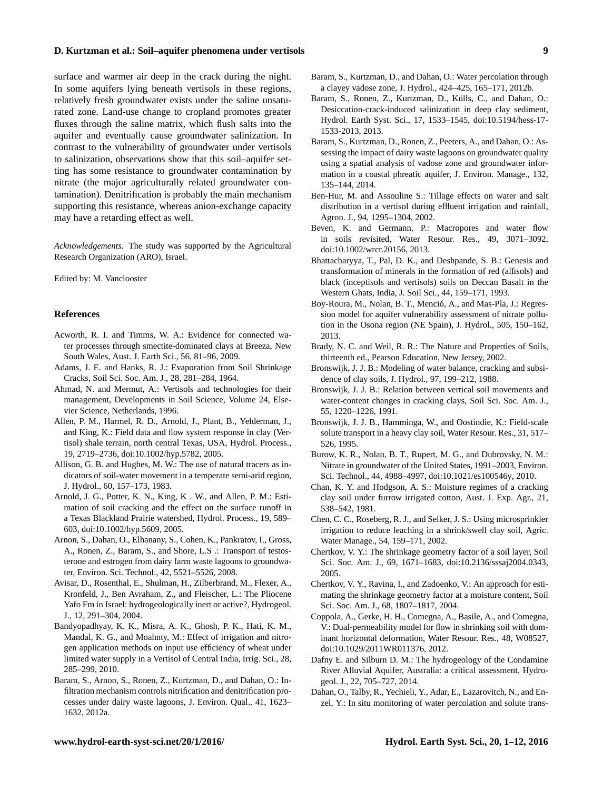surface and warmer air deep in the crack during the night. In some aquifers lying beneath vertisols in these regions, relatively fresh groundwater exists under the saline unsaturated zone. Land-use change to cropland promotes greater fluxes through the saline matrix, which flush salts into the aquifer and eventually cause groundwater salinization. In contrast to the vulnerability of groundwater under vertisols to salinization, observations show that this soil–aquifer setting has some resistance to groundwater contamination by nitrate (the major agriculturally related groundwater contamination). Denitrification is probably the main mechanism supporting this resistance, whereas anion-exchange capacity may have a retarding effect as well.

*Acknowledgements.* The study was supported by the Agricultural Research Organization (ARO), Israel.

Edited by: M. Vanclooster

#### **References**

- Acworth, R. I. and Timms, W. A.: Evidence for connected water processes through smectite-dominated clays at Breeza, New South Wales, Aust. J. Earth Sci., 56, 81–96, 2009.
- Adams, J. E. and Hanks, R. J.: Evaporation from Soil Shrinkage Cracks, Soil Sci. Soc. Am. J., 28, 281–284, 1964.
- Ahmad, N. and Mermut, A.: Vertisols and technologies for their management, Developments in Soil Science, Volume 24, Elsevier Science, Netherlands, 1996.
- Allen, P. M., Harmel, R. D., Arnold, J., Plant, B., Yelderman, J., and King, K.: Field data and flow system response in clay (Vertisol) shale terrain, north central Texas, USA, Hydrol. Process., 19, 2719–2736, doi[:10.1002/hyp.5782,](http://dx.doi.org/10.1002/hyp.5782) 2005.
- Allison, G. B. and Hughes, M. W.: The use of natural tracers as indicators of soil-water movement in a temperate semi-arid region, J. Hydrol., 60, 157–173, 1983.
- Arnold, J. G., Potter, K. N., King, K . W., and Allen, P. M.: Estimation of soil cracking and the effect on the surface runoff in a Texas Blackland Prairie watershed, Hydrol. Process., 19, 589– 603, doi[:10.1002/hyp.5609,](http://dx.doi.org/10.1002/hyp.5609) 2005.
- Arnon, S., Dahan, O., Elhanany, S., Cohen, K., Pankratov, I., Gross, A., Ronen, Z., Baram, S., and Shore, L.S .: Transport of testosterone and estrogen from dairy farm waste lagoons to groundwater, Environ. Sci. Technol., 42, 5521–5526, 2008.
- Avisar, D., Rosenthal, E., Shulman, H., Zilberbrand, M., Flexer, A., Kronfeld, J., Ben Avraham, Z., and Fleischer, L.: The Pliocene Yafo Fm in Israel: hydrogeologically inert or active?, Hydrogeol. J., 12, 291–304, 2004.
- Bandyopadhyay, K. K., Misra, A. K., Ghosh, P. K., Hati, K. M., Mandal, K. G., and Moahnty, M.: Effect of irrigation and nitrogen application methods on input use efficiency of wheat under limited water supply in a Vertisol of Central India, Irrig. Sci., 28, 285–299, 2010.
- Baram, S., Arnon, S., Ronen, Z., Kurtzman, D., and Dahan, O.: Infiltration mechanism controls nitrification and denitrification processes under dairy waste lagoons, J. Environ. Qual., 41, 1623– 1632, 2012a.
- Baram, S., Kurtzman, D., and Dahan, O.: Water percolation through a clayey vadose zone, J. Hydrol., 424–425, 165–171, 2012b.
- Baram, S., Ronen, Z., Kurtzman, D., Külls, C., and Dahan, O.: Desiccation-crack-induced salinization in deep clay sediment, Hydrol. Earth Syst. Sci., 17, 1533–1545, doi[:10.5194/hess-17-](http://dx.doi.org/10.5194/hess-17-1533-2013) [1533-2013,](http://dx.doi.org/10.5194/hess-17-1533-2013) 2013.
- Baram, S., Kurtzman, D., Ronen, Z., Peeters, A., and Dahan, O.: Assessing the impact of dairy waste lagoons on groundwater quality using a spatial analysis of vadose zone and groundwater information in a coastal phreatic aquifer, J. Environ. Manage., 132, 135–144, 2014.
- Ben-Hur, M. and Assouline S.: Tillage effects on water and salt distribution in a vertisol during effluent irrigation and rainfall, Agron. J., 94, 1295–1304, 2002.
- Beven, K. and Germann, P.: Macropores and water flow in soils revisited, Water Resour. Res., 49, 3071–3092, doi[:10.1002/wrcr.20156,](http://dx.doi.org/10.1002/wrcr.20156) 2013.
- Bhattacharyya, T., Pal, D. K., and Deshpande, S. B.: Genesis and transformation of minerals in the formation of red (alfisols) and black (inceptisols and vertisols) soils on Deccan Basalt in the Western Ghats, India, J. Soil Sci., 44, 159–171, 1993.
- Boy-Roura, M., Nolan, B. T., Menció, A., and Mas-Pla, J.: Regression model for aquifer vulnerability assessment of nitrate pollution in the Osona region (NE Spain), J. Hydrol., 505, 150–162, 2013.
- Brady, N. C. and Weil, R. R.: The Nature and Properties of Soils, thirteenth ed., Pearson Education, New Jersey, 2002.
- Bronswijk, J. J. B.: Modeling of water balance, cracking and subsidence of clay soils, J. Hydrol., 97, 199–212, 1988.
- Bronswijk, J. J. B.: Relation between vertical soil movements and water-content changes in cracking clays, Soil Sci. Soc. Am. J., 55, 1220–1226, 1991.
- Bronswijk, J. J. B., Hamminga, W., and Oostindie, K.: Field-scale solute transport in a heavy clay soil, Water Resour. Res., 31, 517-526, 1995.
- Burow, K. R., Nolan, B. T., Rupert, M. G., and Dubrovsky, N. M.: Nitrate in groundwater of the United States, 1991–2003, Environ. Sci. Technol., 44, 4988–4997, doi[:10.1021/es100546y,](http://dx.doi.org/10.1021/es100546y) 2010.
- Chan, K. Y. and Hodgson, A. S.: Moisture regimes of a cracking clay soil under furrow irrigated cotton, Aust. J. Exp. Agr., 21, 538–542, 1981.
- Chen, C. C., Roseberg, R. J., and Selker, J. S.: Using microsprinkler irrigation to reduce leaching in a shrink/swell clay soil, Agric. Water Manage., 54, 159–171, 2002.
- Chertkov, V. Y.: The shrinkage geometry factor of a soil layer, Soil Sci. Soc. Am. J., 69, 1671–1683, doi[:10.2136/sssaj2004.0343,](http://dx.doi.org/10.2136/sssaj2004.0343) 2005.
- Chertkov, V. Y., Ravina, I., and Zadoenko, V.: An approach for estimating the shrinkage geometry factor at a moisture content, Soil Sci. Soc. Am. J., 68, 1807–1817, 2004.
- Coppola, A., Gerke, H. H., Comegna, A., Basile, A., and Comegna, V.: Dual-permeability model for flow in shrinking soil with dominant horizontal deformation, Water Resour. Res., 48, W08527, doi[:10.1029/2011WR011376,](http://dx.doi.org/10.1029/2011WR011376) 2012.
- Dafny E. and Silburn D. M.: The hydrogeology of the Condamine River Alluvial Aquifer, Australia: a critical assessment, Hydrogeol. J., 22, 705–727, 2014.
- Dahan, O., Talby, R., Yechieli, Y., Adar, E., Lazarovitch, N., and Enzel, Y.: In situ monitoring of water percolation and solute trans-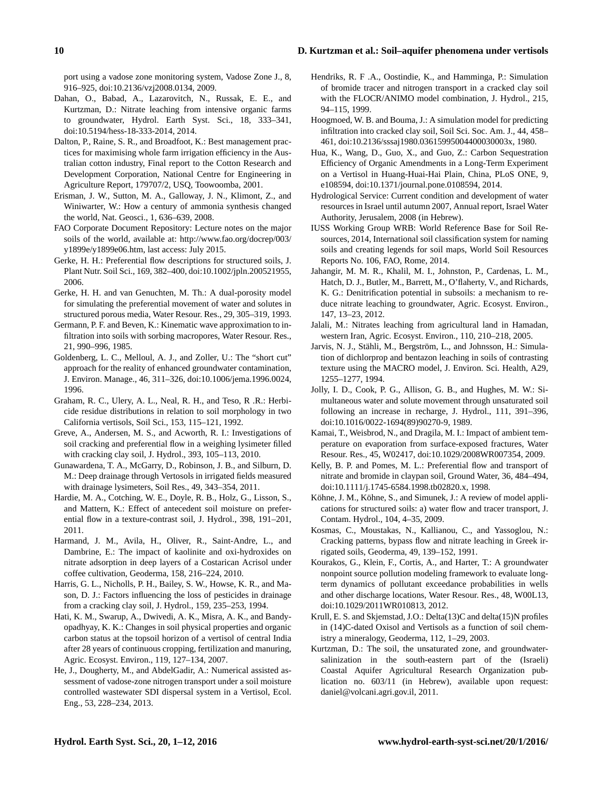port using a vadose zone monitoring system, Vadose Zone J., 8, 916–925, doi[:10.2136/vzj2008.0134,](http://dx.doi.org/10.2136/vzj2008.0134) 2009.

- Dahan, O., Babad, A., Lazarovitch, N., Russak, E. E., and Kurtzman, D.: Nitrate leaching from intensive organic farms to groundwater, Hydrol. Earth Syst. Sci., 18, 333–341, doi[:10.5194/hess-18-333-2014,](http://dx.doi.org/10.5194/hess-18-333-2014) 2014.
- Dalton, P., Raine, S. R., and Broadfoot, K.: Best management practices for maximising whole farm irrigation efficiency in the Australian cotton industry, Final report to the Cotton Research and Development Corporation, National Centre for Engineering in Agriculture Report, 179707/2, USQ, Toowoomba, 2001.
- Erisman, J. W., Sutton, M. A., Galloway, J. N., Klimont, Z., and Winiwarter, W.: How a century of ammonia synthesis changed the world, Nat. Geosci., 1, 636–639, 2008.
- FAO Corporate Document Repository: Lecture notes on the major soils of the world, available at: [http://www.fao.org/docrep/003/](http://www.fao.org/docrep/003/y1899e/y1899e06.htm) [y1899e/y1899e06.htm,](http://www.fao.org/docrep/003/y1899e/y1899e06.htm) last access: July 2015.
- Gerke, H. H.: Preferential flow descriptions for structured soils, J. Plant Nutr. Soil Sci., 169, 382–400, doi[:10.1002/jpln.200521955,](http://dx.doi.org/10.1002/jpln.200521955) 2006.
- Gerke, H. H. and van Genuchten, M. Th.: A dual-porosity model for simulating the preferential movement of water and solutes in structured porous media, Water Resour. Res., 29, 305–319, 1993.
- Germann, P. F. and Beven, K.: Kinematic wave approximation to infiltration into soils with sorbing macropores, Water Resour. Res., 21, 990–996, 1985.
- Goldenberg, L. C., Melloul, A. J., and Zoller, U.: The "short cut" approach for the reality of enhanced groundwater contamination, J. Environ. Manage., 46, 311–326, doi[:10.1006/jema.1996.0024,](http://dx.doi.org/10.1006/jema.1996.0024) 1996.
- Graham, R. C., Ulery, A. L., Neal, R. H., and Teso, R .R.: Herbicide residue distributions in relation to soil morphology in two California vertisols, Soil Sci., 153, 115–121, 1992.
- Greve, A., Andersen, M. S., and Acworth, R. I.: Investigations of soil cracking and preferential flow in a weighing lysimeter filled with cracking clay soil, J. Hydrol., 393, 105–113, 2010.
- Gunawardena, T. A., McGarry, D., Robinson, J. B., and Silburn, D. M.: Deep drainage through Vertosols in irrigated fields measured with drainage lysimeters, Soil Res., 49, 343–354, 2011.
- Hardie, M. A., Cotching, W. E., Doyle, R. B., Holz, G., Lisson, S., and Mattern, K.: Effect of antecedent soil moisture on preferential flow in a texture-contrast soil, J. Hydrol., 398, 191–201, 2011.
- Harmand, J. M., Avila, H., Oliver, R., Saint-Andre, L., and Dambrine, E.: The impact of kaolinite and oxi-hydroxides on nitrate adsorption in deep layers of a Costarican Acrisol under coffee cultivation, Geoderma, 158, 216–224, 2010.
- Harris, G. L., Nicholls, P. H., Bailey, S. W., Howse, K. R., and Mason, D. J.: Factors influencing the loss of pesticides in drainage from a cracking clay soil, J. Hydrol., 159, 235–253, 1994.
- Hati, K. M., Swarup, A., Dwivedi, A. K., Misra, A. K., and Bandyopadhyay, K. K.: Changes in soil physical properties and organic carbon status at the topsoil horizon of a vertisol of central India after 28 years of continuous cropping, fertilization and manuring, Agric. Ecosyst. Environ., 119, 127–134, 2007.
- He, J., Dougherty, M., and AbdelGadir, A.: Numerical assisted assessment of vadose-zone nitrogen transport under a soil moisture controlled wastewater SDI dispersal system in a Vertisol, Ecol. Eng., 53, 228–234, 2013.
- Hendriks, R. F .A., Oostindie, K., and Hamminga, P.: Simulation of bromide tracer and nitrogen transport in a cracked clay soil with the FLOCR/ANIMO model combination, J. Hydrol., 215, 94–115, 1999.
- Hoogmoed, W. B. and Bouma, J.: A simulation model for predicting infiltration into cracked clay soil, Soil Sci. Soc. Am. J., 44, 458– 461, doi[:10.2136/sssaj1980.03615995004400030003x,](http://dx.doi.org/10.2136/sssaj1980.03615995004400030003x) 1980.
- Hua, K., Wang, D., Guo, X., and Guo, Z.: Carbon Sequestration Efficiency of Organic Amendments in a Long-Term Experiment on a Vertisol in Huang-Huai-Hai Plain, China, PLoS ONE, 9, e108594, doi[:10.1371/journal.pone.0108594,](http://dx.doi.org/10.1371/journal.pone.0108594) 2014.
- Hydrological Service: Current condition and development of water resources in Israel until autumn 2007, Annual report, Israel Water Authority, Jerusalem, 2008 (in Hebrew).
- IUSS Working Group WRB: World Reference Base for Soil Resources, 2014, International soil classification system for naming soils and creating legends for soil maps, World Soil Resources Reports No. 106, FAO, Rome, 2014.
- Jahangir, M. M. R., Khalil, M. I., Johnston, P., Cardenas, L. M., Hatch, D. J., Butler, M., Barrett, M., O'flaherty, V., and Richards, K. G.: Denitrification potential in subsoils: a mechanism to reduce nitrate leaching to groundwater, Agric. Ecosyst. Environ., 147, 13–23, 2012.
- Jalali, M.: Nitrates leaching from agricultural land in Hamadan, western Iran, Agric. Ecosyst. Environ., 110, 210–218, 2005.
- Jarvis, N. J., Stähli, M., Bergström, L., and Johnsson, H.: Simulation of dichlorprop and bentazon leaching in soils of contrasting texture using the MACRO model, J. Environ. Sci. Health, A29, 1255–1277, 1994.
- Jolly, I. D., Cook, P. G., Allison, G. B., and Hughes, M. W.: Simultaneous water and solute movement through unsaturated soil following an increase in recharge, J. Hydrol., 111, 391–396, doi[:10.1016/0022-1694\(89\)90270-9,](http://dx.doi.org/10.1016/0022-1694(89)90270-9) 1989.
- Kamai, T., Weisbrod, N., and Dragila, M. I.: Impact of ambient temperature on evaporation from surface-exposed fractures, Water Resour. Res., 45, W02417, doi[:10.1029/2008WR007354,](http://dx.doi.org/10.1029/2008WR007354) 2009.
- Kelly, B. P. and Pomes, M. L.: Preferential flow and transport of nitrate and bromide in claypan soil, Ground Water, 36, 484–494, doi[:10.1111/j.1745-6584.1998.tb02820.x,](http://dx.doi.org/10.1111/j.1745-6584.1998.tb02820.x) 1998.
- Köhne, J. M., Köhne, S., and Simunek, J.: A review of model applications for structured soils: a) water flow and tracer transport, J. Contam. Hydrol., 104, 4–35, 2009.
- Kosmas, C., Moustakas, N., Kallianou, C., and Yassoglou, N.: Cracking patterns, bypass flow and nitrate leaching in Greek irrigated soils, Geoderma, 49, 139–152, 1991.
- Kourakos, G., Klein, F., Cortis, A., and Harter, T.: A groundwater nonpoint source pollution modeling framework to evaluate longterm dynamics of pollutant exceedance probabilities in wells and other discharge locations, Water Resour. Res., 48, W00L13, doi[:10.1029/2011WR010813,](http://dx.doi.org/10.1029/2011WR010813) 2012.
- Krull, E. S. and Skjemstad, J.O.: Delta(13)C and delta(15)N profiles in (14)C-dated Oxisol and Vertisols as a function of soil chemistry a mineralogy, Geoderma, 112, 1–29, 2003.
- Kurtzman, D.: The soil, the unsaturated zone, and groundwatersalinization in the south-eastern part of the (Israeli) Coastal Aquifer Agricultural Research Organization publication no. 603/11 (in Hebrew), available upon request: [daniel@volcani.agri.gov.il,](daniel@volcani.agri.gov.il) 2011.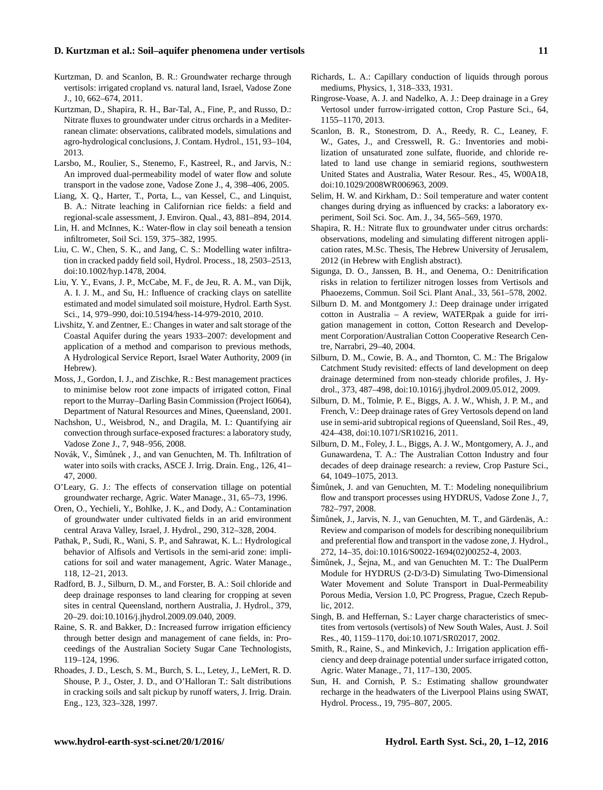- Kurtzman, D. and Scanlon, B. R.: Groundwater recharge through vertisols: irrigated cropland vs. natural land, Israel, Vadose Zone J., 10, 662–674, 2011.
- Kurtzman, D., Shapira, R. H., Bar-Tal, A., Fine, P., and Russo, D.: Nitrate fluxes to groundwater under citrus orchards in a Mediterranean climate: observations, calibrated models, simulations and agro-hydrological conclusions, J. Contam. Hydrol., 151, 93–104, 2013.
- Larsbo, M., Roulier, S., Stenemo, F., Kastreel, R., and Jarvis, N.: An improved dual-permeability model of water flow and solute transport in the vadose zone, Vadose Zone J., 4, 398–406, 2005.
- Liang, X. Q., Harter, T., Porta, L., van Kessel, C., and Linquist, B. A.: Nitrate leaching in Californian rice fields: a field and regional-scale assessment, J. Environ. Qual., 43, 881–894, 2014.
- Lin, H. and McInnes, K.: Water-flow in clay soil beneath a tension infiltrometer, Soil Sci. 159, 375–382, 1995.
- Liu, C. W., Chen, S. K., and Jang, C. S.: Modelling water infiltration in cracked paddy field soil, Hydrol. Process., 18, 2503–2513, doi[:10.1002/hyp.1478,](http://dx.doi.org/10.1002/hyp.1478) 2004.
- Liu, Y. Y., Evans, J. P., McCabe, M. F., de Jeu, R. A. M., van Dijk, A. I. J. M., and Su, H.: Influence of cracking clays on satellite estimated and model simulated soil moisture, Hydrol. Earth Syst. Sci., 14, 979–990, doi[:10.5194/hess-14-979-2010,](http://dx.doi.org/10.5194/hess-14-979-2010) 2010.
- Livshitz, Y. and Zentner, E.: Changes in water and salt storage of the Coastal Aquifer during the years 1933–2007: development and application of a method and comparison to previous methods, A Hydrological Service Report, Israel Water Authority, 2009 (in Hebrew).
- Moss, J., Gordon, I. J., and Zischke, R.: Best management practices to minimise below root zone impacts of irrigated cotton, Final report to the Murray–Darling Basin Commission (Project I6064), Department of Natural Resources and Mines, Queensland, 2001.
- Nachshon, U., Weisbrod, N., and Dragila, M. I.: Quantifying air convection through surface-exposed fractures: a laboratory study, Vadose Zone J., 7, 948–956, 2008.
- Novák, V., Šimůnek, J., and van Genuchten, M. Th. Infiltration of water into soils with cracks, ASCE J. Irrig. Drain. Eng., 126, 41– 47, 2000.
- O'Leary, G. J.: The effects of conservation tillage on potential groundwater recharge, Agric. Water Manage., 31, 65–73, 1996.
- Oren, O., Yechieli, Y., Bohlke, J. K., and Dody, A.: Contamination of groundwater under cultivated fields in an arid environment central Arava Valley, Israel, J. Hydrol., 290, 312–328, 2004.
- Pathak, P., Sudi, R., Wani, S. P., and Sahrawat, K. L.: Hydrological behavior of Alfisols and Vertisols in the semi-arid zone: implications for soil and water management, Agric. Water Manage., 118, 12–21, 2013.
- Radford, B. J., Silburn, D. M., and Forster, B. A.: Soil chloride and deep drainage responses to land clearing for cropping at seven sites in central Queensland, northern Australia, J. Hydrol., 379, 20–29. doi[:10.1016/j.jhydrol.2009.09.040,](http://dx.doi.org/10.1016/j.jhydrol.2009.09.040) 2009.
- Raine, S. R. and Bakker, D.: Increased furrow irrigation efficiency through better design and management of cane fields, in: Proceedings of the Australian Society Sugar Cane Technologists, 119–124, 1996.
- Rhoades, J. D., Lesch, S. M., Burch, S. L., Letey, J., LeMert, R. D. Shouse, P. J., Oster, J. D., and O'Halloran T.: Salt distributions in cracking soils and salt pickup by runoff waters, J. Irrig. Drain. Eng., 123, 323–328, 1997.
- Richards, L. A.: Capillary conduction of liquids through porous mediums, Physics, 1, 318–333, 1931.
- Ringrose-Voase, A. J. and Nadelko, A. J.: Deep drainage in a Grey Vertosol under furrow-irrigated cotton, Crop Pasture Sci., 64, 1155–1170, 2013.
- Scanlon, B. R., Stonestrom, D. A., Reedy, R. C., Leaney, F. W., Gates, J., and Cresswell, R. G.: Inventories and mobilization of unsaturated zone sulfate, fluoride, and chloride related to land use change in semiarid regions, southwestern United States and Australia, Water Resour. Res., 45, W00A18, doi[:10.1029/2008WR006963,](http://dx.doi.org/10.1029/2008WR006963) 2009.
- Selim, H. W. and Kirkham, D.: Soil temperature and water content changes during drying as influenced by cracks: a laboratory experiment, Soil Sci. Soc. Am. J., 34, 565–569, 1970.
- Shapira, R. H.: Nitrate flux to groundwater under citrus orchards: observations, modeling and simulating different nitrogen application rates, M.Sc. Thesis, The Hebrew University of Jerusalem, 2012 (in Hebrew with English abstract).
- Sigunga, D. O., Janssen, B. H., and Oenema, O.: Denitrification risks in relation to fertilizer nitrogen losses from Vertisols and Phaoezems, Commun. Soil Sci. Plant Anal., 33, 561–578, 2002.
- Silburn D. M. and Montgomery J.: Deep drainage under irrigated cotton in Australia – A review, WATERpak a guide for irrigation management in cotton, Cotton Research and Development Corporation/Australian Cotton Cooperative Research Centre, Narrabri, 29–40, 2004.
- Silburn, D. M., Cowie, B. A., and Thornton, C. M.: The Brigalow Catchment Study revisited: effects of land development on deep drainage determined from non-steady chloride profiles, J. Hydrol., 373, 487–498, doi[:10.1016/j.jhydrol.2009.05.012,](http://dx.doi.org/10.1016/j.jhydrol.2009.05.012) 2009.
- Silburn, D. M., Tolmie, P. E., Biggs, A. J. W., Whish, J. P. M., and French, V.: Deep drainage rates of Grey Vertosols depend on land use in semi-arid subtropical regions of Queensland, Soil Res., 49, 424–438, doi[:10.1071/SR10216,](http://dx.doi.org/10.1071/SR10216) 2011.
- Silburn, D. M., Foley, J. L., Biggs, A. J. W., Montgomery, A. J., and Gunawardena, T. A.: The Australian Cotton Industry and four decades of deep drainage research: a review, Crop Pasture Sci., 64, 1049–1075, 2013.
- Šimůnek, J. and van Genuchten, M. T.: Modeling nonequilibrium flow and transport processes using HYDRUS, Vadose Zone J., 7, 782–797, 2008.
- Šimůnek, J., Jarvis, N. J., van Genuchten, M. T., and Gärdenäs, A.: Review and comparison of models for describing nonequilibrium and preferential flow and transport in the vadose zone, J. Hydrol., 272, 14–35, doi[:10.1016/S0022-1694\(02\)00252-4,](http://dx.doi.org/10.1016/S0022-1694(02)00252-4) 2003.
- Šimůnek, J., Šejna, M., and van Genuchten M. T.: The DualPerm Module for HYDRUS (2-D/3-D) Simulating Two-Dimensional Water Movement and Solute Transport in Dual-Permeability Porous Media, Version 1.0, PC Progress, Prague, Czech Republic, 2012.
- Singh, B. and Heffernan, S.: Layer charge characteristics of smectites from vertosols (vertisols) of New South Wales, Aust. J. Soil Res., 40, 1159–1170, doi[:10.1071/SR02017,](http://dx.doi.org/10.1071/SR02017) 2002.
- Smith, R., Raine, S., and Minkevich, J.: Irrigation application efficiency and deep drainage potential under surface irrigated cotton, Agric. Water Manage., 71, 117–130, 2005.
- Sun, H. and Cornish, P. S.: Estimating shallow groundwater recharge in the headwaters of the Liverpool Plains using SWAT, Hydrol. Process., 19, 795–807, 2005.